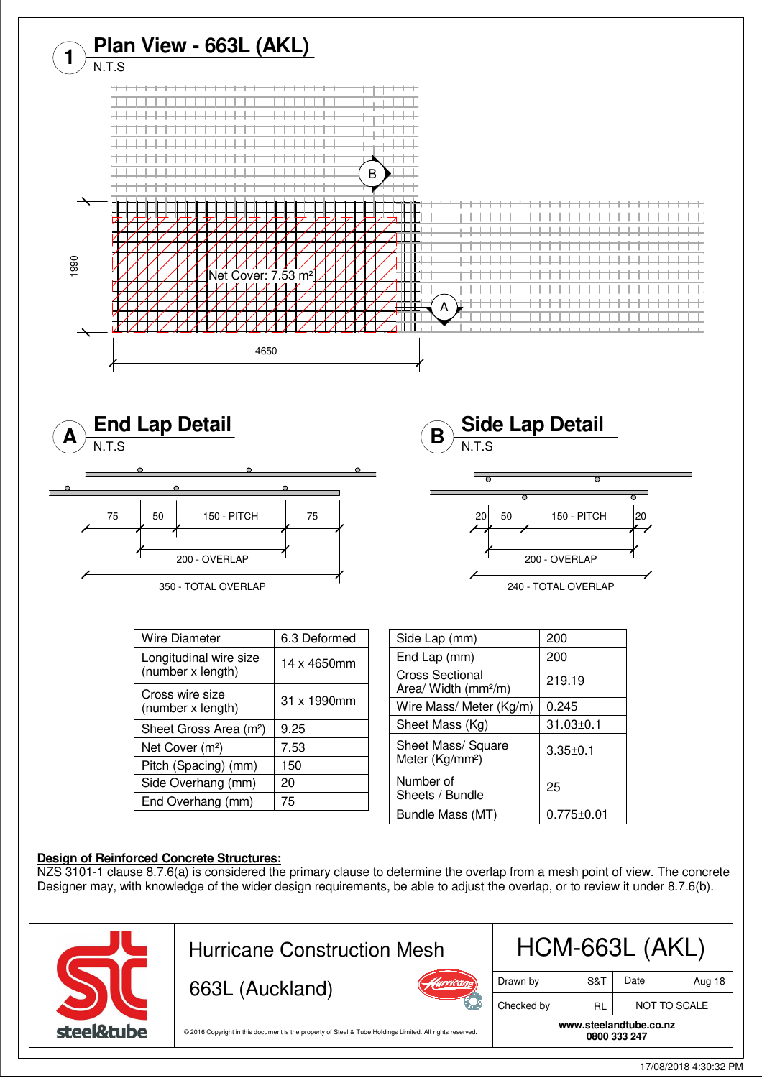

## **Design of Reinforced Concrete Structures:**

NZS 3101-1 clause 8.7.6(a) is considered the primary clause to determine the overlap from a mesh point of view. The concrete Designer may, with knowledge of the wider design requirements, be able to adjust the overlap, or to review it under 8.7.6(b).

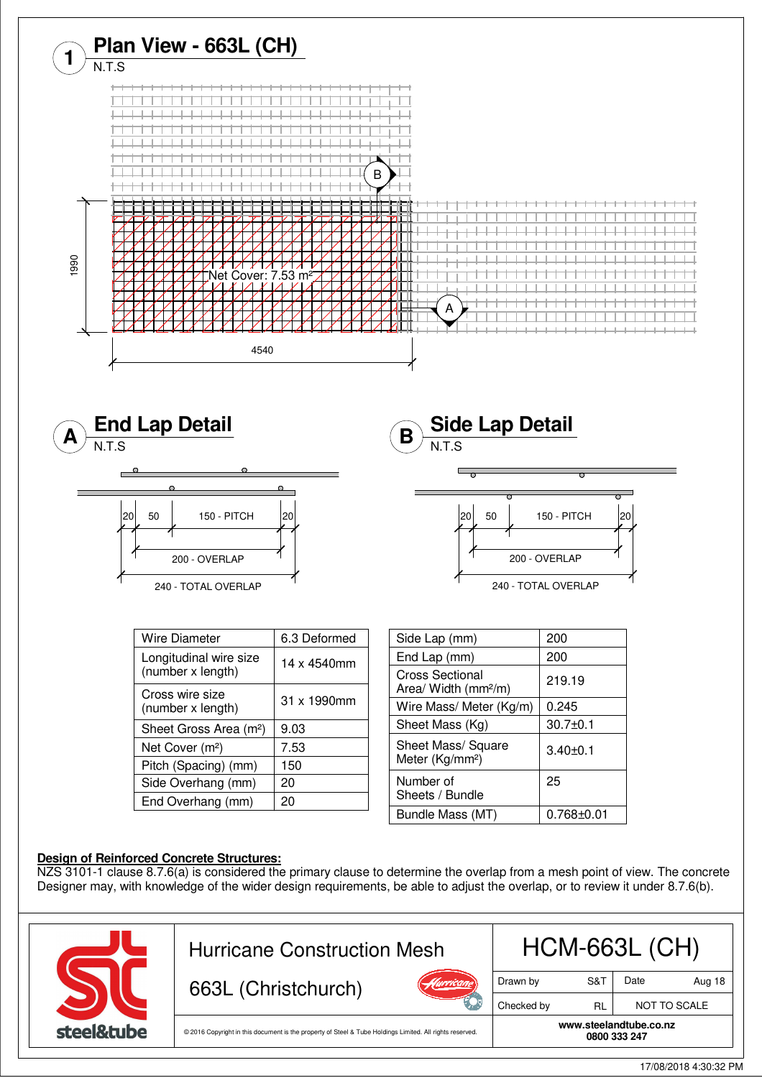

**0800 333 247** © 2016 Copyright in this document is the property of Steel & Tube Holdings Limited. All rights reserved.

steel&tube

**www.steelandtube.co.nz**

17/08/2018 4:30:32 PM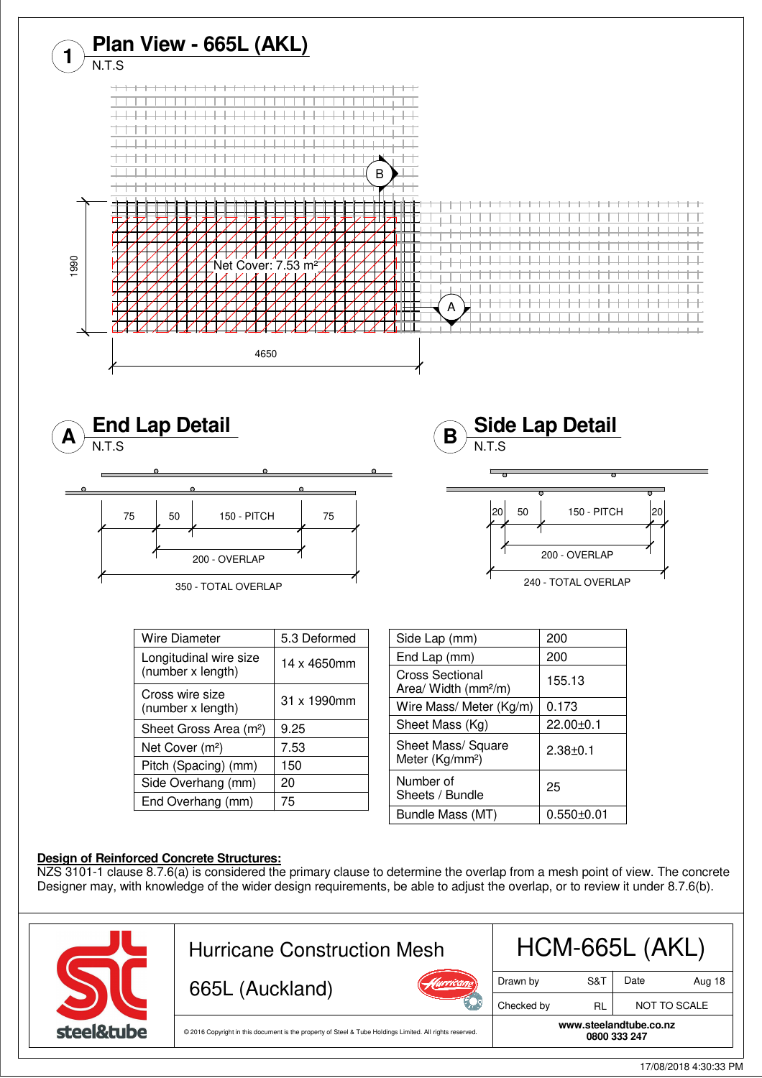

<sup>17/08/2018 4:30:33</sup> PM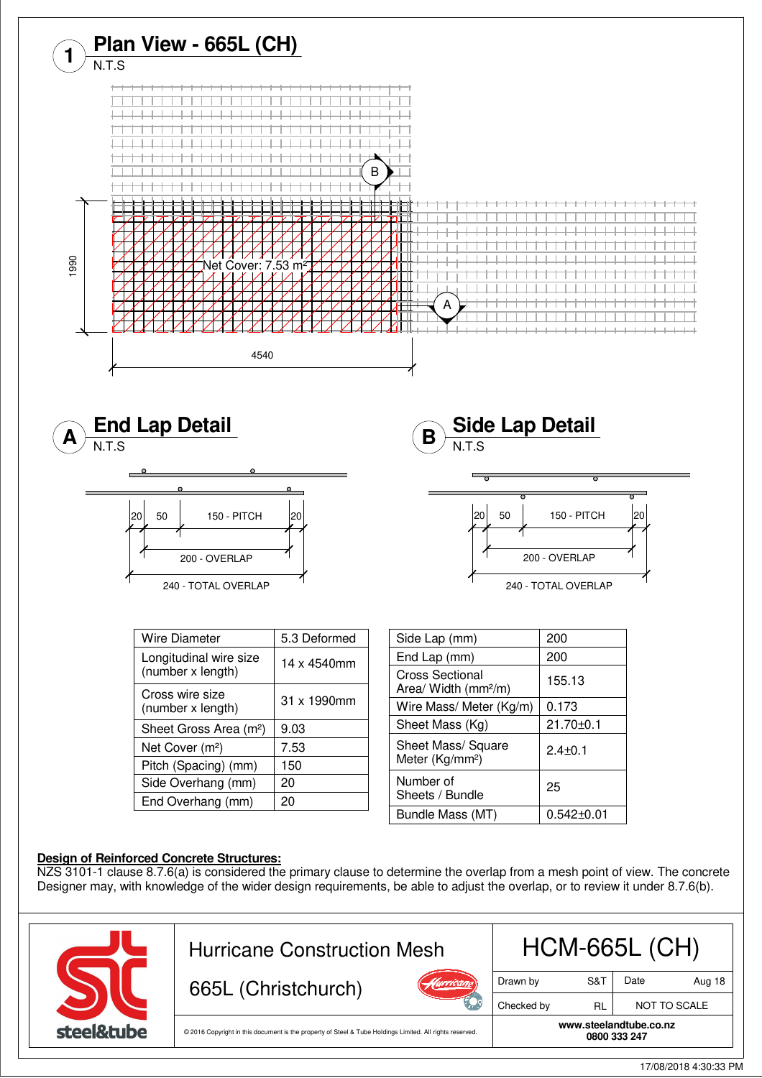

17/08/2018 4:30:33 PM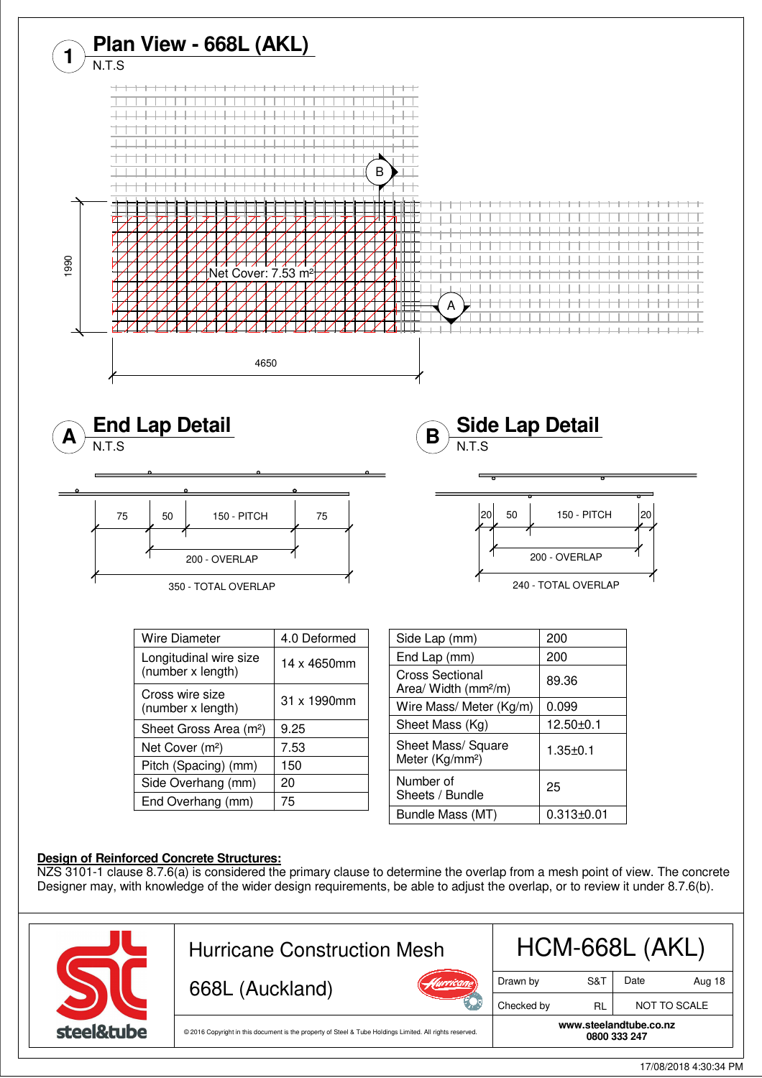

**0800 333 247** © 2016 Copyright in this document is the property of Steel & Tube Holdings Limited. All rights reserved.

steel&tube

**www.steelandtube.co.nz**

17/08/2018 4:30:34 PM